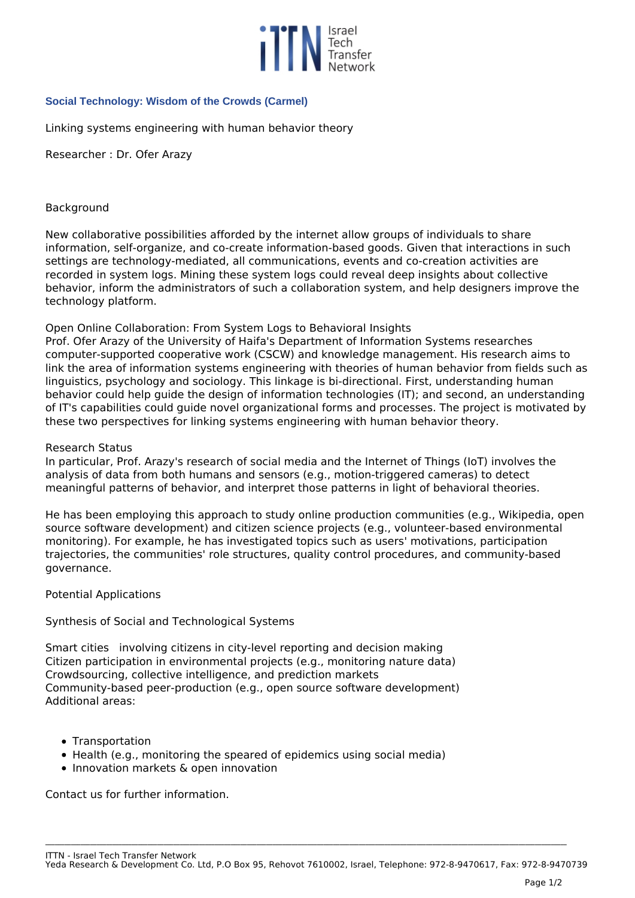

# **Social Technology: Wisdom of the Crowds (Carmel)**

*Linking systems engineering with human behavior theory*

*Researcher : Dr. Ofer Arazy*

### *Background*

*New collaborative possibilities afforded by the internet allow groups of individuals to share information, self-organize, and co-create information-based goods. Given that interactions in such settings are technology-mediated, all communications, events and co-creation activities are recorded in system logs. Mining these system logs could reveal deep insights about collective behavior, inform the administrators of such a collaboration system, and help designers improve the technology platform.*

### *Open Online Collaboration: From System Logs to Behavioral Insights*

*Prof. Ofer Arazy of the University of Haifa's Department of Information Systems researches computer-supported cooperative work (CSCW) and knowledge management. His research aims to link the area of information systems engineering with theories of human behavior from fields such as linguistics, psychology and sociology. This linkage is bi-directional. First, understanding human behavior could help guide the design of information technologies (IT); and second, an understanding of IT's capabilities could guide novel organizational forms and processes. The project is motivated by these two perspectives for linking systems engineering with human behavior theory.*

#### *Research Status*

*In particular, Prof. Arazy's research of social media and the Internet of Things (IoT) involves the analysis of data from both humans and sensors (e.g., motion-triggered cameras) to detect meaningful patterns of behavior, and interpret those patterns in light of behavioral theories.*

*He has been employing this approach to study online production communities (e.g., Wikipedia, open source software development) and citizen science projects (e.g., volunteer-based environmental monitoring). For example, he has investigated topics such as users' motivations, participation trajectories, the communities' role structures, quality control procedures, and community-based governance.*

# *Potential Applications*

# *Synthesis of Social and Technological Systems*

*Smart cities involving citizens in city-level reporting and decision making Citizen participation in environmental projects (e.g., monitoring nature data) Crowdsourcing, collective intelligence, and prediction markets Community-based peer-production (e.g., open source software development) Additional areas:*

- *Transportation*
- *Health (e.g., monitoring the speared of epidemics using social media)*
- *Innovation markets & open innovation*

*Contact us for further information.*

**\_\_\_\_\_\_\_\_\_\_\_\_\_\_\_\_\_\_\_\_\_\_\_\_\_\_\_\_\_\_\_\_\_\_\_\_\_\_\_\_\_\_\_\_\_\_\_\_\_\_\_\_\_\_\_\_\_\_\_\_\_\_\_\_\_\_\_\_\_\_\_\_\_\_\_\_\_\_\_\_\_\_\_\_\_\_\_\_\_\_\_\_\_\_\_\_\_\_\_\_\_\_\_\_\_\_\_\_\_\_\_\_\_\_\_\_\_\_\_\_\_\_\_\_\_\_\_\_\_\_\_\_\_\_\_\_\_\_\_\_\_\_\_\_\_\_\_\_\_\_\_\_\_\_\_\_\_\_\_\_\_\_\_**